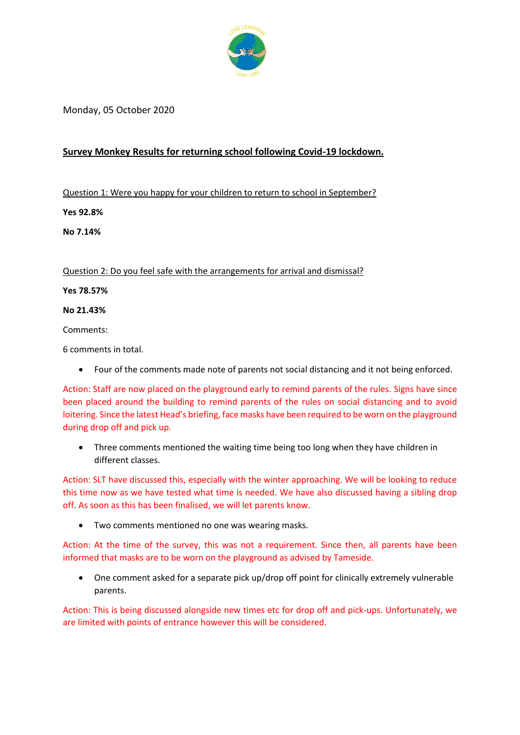

Monday, 05 October 2020

## **Survey Monkey Results for returning school following Covid-19 lockdown.**

Question 1: Were you happy for your children to return to school in September?

**Yes 92.8%**

**No 7.14%**

Question 2: Do you feel safe with the arrangements for arrival and dismissal?

**Yes 78.57%**

**No 21.43%** 

Comments:

6 comments in total.

• Four of the comments made note of parents not social distancing and it not being enforced.

Action: Staff are now placed on the playground early to remind parents of the rules. Signs have since been placed around the building to remind parents of the rules on social distancing and to avoid loitering. Since the latest Head's briefing, face masks have been required to be worn on the playground during drop off and pick up.

• Three comments mentioned the waiting time being too long when they have children in different classes.

Action: SLT have discussed this, especially with the winter approaching. We will be looking to reduce this time now as we have tested what time is needed. We have also discussed having a sibling drop off. As soon as this has been finalised, we will let parents know.

• Two comments mentioned no one was wearing masks.

Action: At the time of the survey, this was not a requirement. Since then, all parents have been informed that masks are to be worn on the playground as advised by Tameside.

• One comment asked for a separate pick up/drop off point for clinically extremely vulnerable parents.

Action: This is being discussed alongside new times etc for drop off and pick-ups. Unfortunately, we are limited with points of entrance however this will be considered.